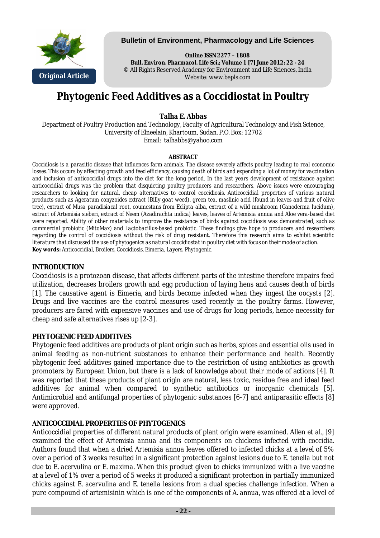

## **Bulletin of Environment, Pharmacology and Life Sciences**

**Online ISSN 2277 – 1808 Bull. Environ. Pharmacol. Life Sci.; Volume 1 [7] June 2012: 22 - 24** © All Rights Reserved Academy for Environment and Life Sciences, India Website: www.bepls.com

# **Phytogenic Feed Additives as a Coccidiostat in Poultry**

# **Talha E. Abbas**

Department of Poultry Production and Technology, Faculty of Agricultural Technology and Fish Science, University of Elneelain, Khartoum, Sudan. P.O. Box: 12702 Email: talhabbs@yahoo.com

#### **ABSTRACT**

*Coccidiosis is a parasitic disease that influences farm animals. The disease severely affects poultry leading to real economic losses. This occurs by affecting growth and feed efficiency, causing death of birds and expending a lot of money for vaccination and inclusion of anticoccidial drugs into the diet for the long period. In the last years development of resistance against anticoccidial drugs was the problem that disquieting poultry producers and researchers. Above issues were encouraging researchers to looking for natural, cheap alternatives to control coccidiosis. Anticoccidial properties of various natural products such as Ageratum conyzoides extract (Billy goat weed), green tea, maslinic acid (found in leaves and fruit of olive tree), extract of Musa paradisiacal root, coumestans from Eclipta alba, extract of a wild mushroom (Ganoderma lucidum), extract of Artemisia sieberi, extract of Neem (Azadirachta indica) leaves, leaves of Artemisia annua and Aloe vera-based diet were reported. Ability of other materials to improve the resistance of birds against coccidiosis was demonstrated, such as commercial probiotic (MitoMax) and Lactobacillus-based probiotic. These findings give hope to producers and researchers regarding the control of coccidiosis without the risk of drug resistant. Therefore this research aims to exhibit scientific literature that discussed the use of phytogenics as natural coccidiostat in poultry diet with focus on their mode of action. Key words: Anticoccidial, Broilers, Coccidiosis, Eimeria, Layers, Phytogenic.*

### **INTRODUCTION**

Coccidiosis is a protozoan disease, that affects different parts of the intestine therefore impairs feed utilization, decreases broilers growth and egg production of laying hens and causes death of birds [1]. The causative agent is Eimeria, and birds become infected when they ingest the oocysts [2]. Drugs and live vaccines are the control measures used recently in the poultry farms. However, producers are faced with expensive vaccines and use of drugs for long periods, hence necessity for cheap and safe alternatives rises up [2-3].

# **PHYTOGENIC FEED ADDITIVES**

Phytogenic feed additives are products of plant origin such as herbs, spices and essential oils used in animal feeding as non-nutrient substances to enhance their performance and health. Recently phytogenic feed additives gained importance due to the restriction of using antibiotics as growth promoters by European Union, but there is a lack of knowledge about their mode of actions [4]. It was reported that these products of plant origin are natural, less toxic, residue free and ideal feed additives for animal when compared to synthetic antibiotics or inorganic chemicals [5]. Antimicrobial and antifungal properties of phytogenic substances [6-7] and antiparasitic effects [8] were approved.

# **ANTICOCCIDIAL PROPERTIES OF PHYTOGENICS**

Anticoccidial properties of different natural products of plant origin were examined. Allen *et al*., [9] examined the effect of *Artemisia annua* and its components on chickens infected with coccidia. Authors found that when a dried *Artemisia annua* leaves offered to infected chicks at a level of 5% over a period of 3 weeks resulted in a significant protection against lesions due to *E. tenella* but not due to *E. acervulina* or *E. maxima*. When this product given to chicks immunized with a live vaccine at a level of 1% over a period of 5 weeks it produced a significant protection in partially immunized chicks against *E. acervulina* and *E. tenella* lesions from a dual species challenge infection. When a pure compound of artemisinin which is one of the components of *A. annua,* was offered at a level of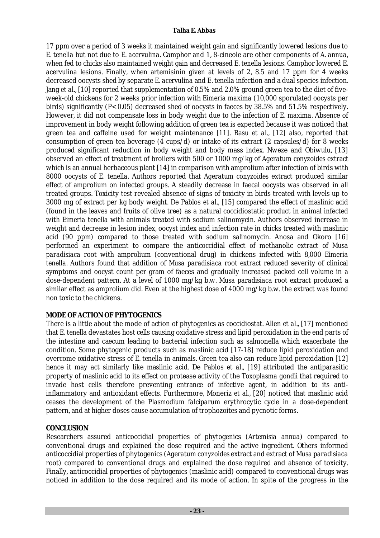#### **Talha E. Abbas**

17 ppm over a period of 3 weeks it maintained weight gain and significantly lowered lesions due to *E. tenella* but not due to *E. acervulina.* Camphor and 1, 8-cineole are other components of *A. annua,* when fed to chicks also maintained weight gain and decreased *E. tenella* lesions. Camphor lowered *E. acervulina* lesions. Finally, when artemisinin given at levels of 2, 8.5 and 17 ppm for 4 weeks decreased oocysts shed by separate *E. acervulina* and *E. tenella* infection and a dual species infection. Jang *et al.*, [10] reported that supplementation of 0.5% and 2.0% ground green tea to the diet of fiveweek-old chickens for 2 weeks prior infection with *Eimeria maxima* (10,000 sporulated oocysts per birds) significantly (P< 0.05) decreased shed of oocysts in faeces by 38.5% and 51.5% respectively. However, it did not compensate loss in body weight due to the infection of *E. maxima*. Absence of improvement in body weight following addition of green tea is expected because it was noticed that green tea and caffeine used for weight maintenance [11]. Basu *et al*., [12] also, reported that consumption of green tea beverage (4 cups/d) or intake of its extract (2 capsules/d) for 8 weeks produced significant reduction in body weight and body mass index. Nweze and Obiwulu, [13] observed an effect of treatment of broilers with 500 or 1000 mg/kg of *Ageratum conyzoides* extract which is an annual herbaceous plant [14] in comparison with amprolium after infection of birds with 8000 oocysts of *E. tenella.* Authors reported that *Ageratum conyzoides* extract produced similar effect of amprolium on infected groups. A steadily decrease in faecal oocysts was observed in all treated groups. Toxicity test revealed absence of signs of toxicity in birds treated with levels up to 3000 mg of extract per kg body weight. De Pablos *et al.,* [15] compared the effect of maslinic acid (found in the leaves and fruits of olive tree) as a natural coccidiostatic product in animal infected with *Eimeria tenella* with animals treated with sodium salinomycin. Authors observed increase in weight and decrease in lesion index, oocyst index and infection rate in chicks treated with maslinic acid (90 ppm) compared to those treated with sodium salinomycin. Anosa and Okoro [16] performed an experiment to compare the anticoccidial effect of methanolic extract of *Musa paradisiaca* root with amprolium (conventional drug) in chickens infected with 8,000 *Eimeria tenella*. Authors found that addition of *Musa paradisiaca* root extract reduced severity of clinical symptoms and oocyst count per gram of faeces and gradually increased packed cell volume in a dose-dependent pattern. At a level of 1000 mg/kg b.w. *Musa paradisiaca* root extract produced a similar effect as amprolium did. Even at the highest dose of 4000 mg/kg b.w. the extract was found non toxic to the chickens.

# **MODE OF ACTION OF PHYTOGENICS**

There is a little about the mode of action of phytogenics as coccidiostat. Allen *et al*., [17] mentioned that *E. tenella* devastates host cells causing oxidative stress and lipid peroxidation in the end parts of the intestine and caecum leading to bacterial infection such as salmonella which exacerbate the condition. Some phytogenic products such as maslinic acid [17-18] reduce lipid peroxidation and overcome oxidative stress of *E. tenella* in animals. Green tea also can reduce lipid peroxidation [12] hence it may act similarly like maslinic acid. De Pablos *et al.,* [19] attributed the antiparasitic property of maslinic acid to its effect on protease activity of the *Toxoplasma gondii* that required to invade host cells therefore preventing entrance of infective agent, in addition to its antiinflammatory and antioxidant effects. Furthermore, Moneriz *et al*., [20] noticed that maslinic acid ceases the development of the *Plasmodium falciparum* erythrocytic cycle in a dose-dependent pattern, and at higher doses cause accumulation of trophozoites and pycnotic forms.

#### **CONCLUSION**

Researchers assured anticoccidial properties of phytogenics (*Artemisia annua*) compared to conventional drugs and explained the dose required and the active ingredient. Others informed anticoccidial properties of phytogenics (*Ageratum conyzoides* extract and extract of *Musa paradisiaca* root) compared to conventional drugs and explained the dose required and absence of toxicity. Finally, anticoccidial properties of phytogenics (maslinic acid) compared to conventional drugs was noticed in addition to the dose required and its mode of action. In spite of the progress in the